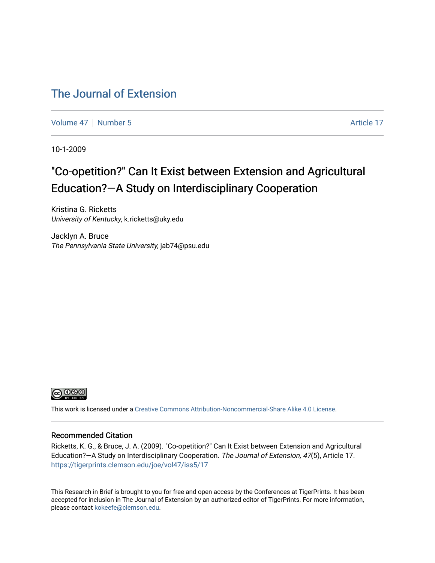#### [The Journal of Extension](https://tigerprints.clemson.edu/joe)

[Volume 47](https://tigerprints.clemson.edu/joe/vol47) | [Number 5](https://tigerprints.clemson.edu/joe/vol47/iss5) Article 17

10-1-2009

## "Co-opetition?" Can It Exist between Extension and Agricultural Education?—A Study on Interdisciplinary Cooperation

Kristina G. Ricketts University of Kentucky, k.ricketts@uky.edu

Jacklyn A. Bruce The Pennsylvania State University, jab74@psu.edu



This work is licensed under a [Creative Commons Attribution-Noncommercial-Share Alike 4.0 License.](https://creativecommons.org/licenses/by-nc-sa/4.0/)

#### Recommended Citation

Ricketts, K. G., & Bruce, J. A. (2009). "Co-opetition?" Can It Exist between Extension and Agricultural Education?—A Study on Interdisciplinary Cooperation. The Journal of Extension, 47(5), Article 17. <https://tigerprints.clemson.edu/joe/vol47/iss5/17>

This Research in Brief is brought to you for free and open access by the Conferences at TigerPrints. It has been accepted for inclusion in The Journal of Extension by an authorized editor of TigerPrints. For more information, please contact [kokeefe@clemson.edu](mailto:kokeefe@clemson.edu).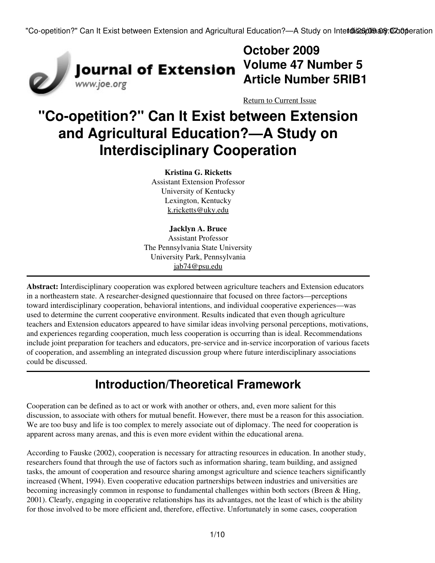

## **October 2009 Volume 47 Number 5 Article Number 5RIB1**

[Return to Current Issue](http://www.joe.org:80/joe/2009october/)

# **"Co-opetition?" Can It Exist between Extension and Agricultural Education?—A Study on Interdisciplinary Cooperation**

**Kristina G. Ricketts** Assistant Extension Professor University of Kentucky Lexington, Kentucky [k.ricketts@uky.edu](mailto:k.ricketts@uky.edu)

#### **Jacklyn A. Bruce** Assistant Professor The Pennsylvania State University University Park, Pennsylvania [jab74@psu.edu](mailto:jab74@psu.edu)

**Abstract:** Interdisciplinary cooperation was explored between agriculture teachers and Extension educators in a northeastern state. A researcher-designed questionnaire that focused on three factors—perceptions toward interdisciplinary cooperation, behavioral intentions, and individual cooperative experiences—was used to determine the current cooperative environment. Results indicated that even though agriculture teachers and Extension educators appeared to have similar ideas involving personal perceptions, motivations, and experiences regarding cooperation, much less cooperation is occurring than is ideal. Recommendations include joint preparation for teachers and educators, pre-service and in-service incorporation of various facets of cooperation, and assembling an integrated discussion group where future interdisciplinary associations could be discussed.

## **Introduction/Theoretical Framework**

Cooperation can be defined as to act or work with another or others, and, even more salient for this discussion, to associate with others for mutual benefit. However, there must be a reason for this association. We are too busy and life is too complex to merely associate out of diplomacy. The need for cooperation is apparent across many arenas, and this is even more evident within the educational arena.

According to Fauske (2002), cooperation is necessary for attracting resources in education. In another study, researchers found that through the use of factors such as information sharing, team building, and assigned tasks, the amount of cooperation and resource sharing amongst agriculture and science teachers significantly increased (Whent, 1994). Even cooperative education partnerships between industries and universities are becoming increasingly common in response to fundamental challenges within both sectors (Breen & Hing, 2001). Clearly, engaging in cooperative relationships has its advantages, not the least of which is the ability for those involved to be more efficient and, therefore, effective. Unfortunately in some cases, cooperation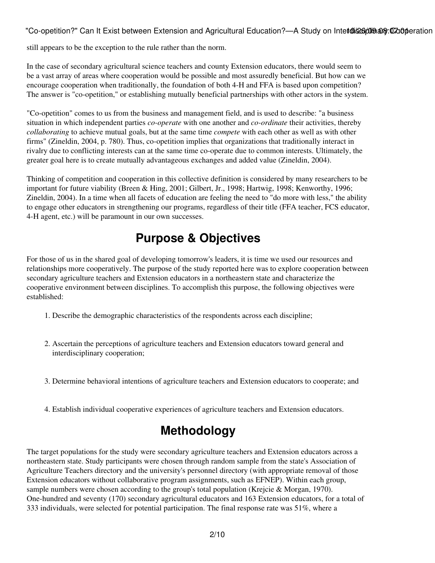"Co-opetition?" Can It Exist between Extension and Agricultural Education?—A Study on Intet@i\$26pmana@in@aperation

still appears to be the exception to the rule rather than the norm.

In the case of secondary agricultural science teachers and county Extension educators, there would seem to be a vast array of areas where cooperation would be possible and most assuredly beneficial. But how can we encourage cooperation when traditionally, the foundation of both 4-H and FFA is based upon competition? The answer is "co-opetition," or establishing mutually beneficial partnerships with other actors in the system.

"Co-opetition" comes to us from the business and management field, and is used to describe: "a business situation in which independent parties *co-operate* with one another and *co-ordinate* their activities, thereby *collaborating* to achieve mutual goals, but at the same time *compete* with each other as well as with other firms" (Zineldin, 2004, p. 780). Thus, co-opetition implies that organizations that traditionally interact in rivalry due to conflicting interests can at the same time co-operate due to common interests. Ultimately, the greater goal here is to create mutually advantageous exchanges and added value (Zineldin, 2004).

Thinking of competition and cooperation in this collective definition is considered by many researchers to be important for future viability (Breen & Hing, 2001; Gilbert, Jr., 1998; Hartwig, 1998; Kenworthy, 1996; Zineldin, 2004). In a time when all facets of education are feeling the need to "do more with less," the ability to engage other educators in strengthening our programs, regardless of their title (FFA teacher, FCS educator, 4-H agent, etc.) will be paramount in our own successes.

## **Purpose & Objectives**

For those of us in the shared goal of developing tomorrow's leaders, it is time we used our resources and relationships more cooperatively. The purpose of the study reported here was to explore cooperation between secondary agriculture teachers and Extension educators in a northeastern state and characterize the cooperative environment between disciplines. To accomplish this purpose, the following objectives were established:

- 1. Describe the demographic characteristics of the respondents across each discipline;
- Ascertain the perceptions of agriculture teachers and Extension educators toward general and 2. interdisciplinary cooperation;
- 3. Determine behavioral intentions of agriculture teachers and Extension educators to cooperate; and
- 4. Establish individual cooperative experiences of agriculture teachers and Extension educators.

## **Methodology**

The target populations for the study were secondary agriculture teachers and Extension educators across a northeastern state. Study participants were chosen through random sample from the state's Association of Agriculture Teachers directory and the university's personnel directory (with appropriate removal of those Extension educators without collaborative program assignments, such as EFNEP). Within each group, sample numbers were chosen according to the group's total population (Krejcie & Morgan, 1970). One-hundred and seventy (170) secondary agricultural educators and 163 Extension educators, for a total of 333 individuals, were selected for potential participation. The final response rate was 51%, where a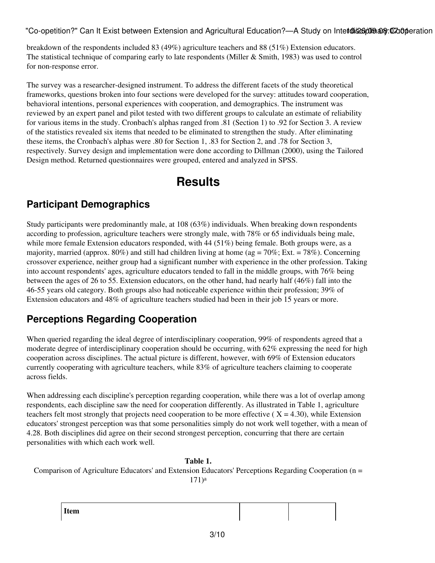"Co-opetition?" Can It Exist between Extension and Agricultural Education?—A Study on Intet@i\$26pmana@in@aperation

breakdown of the respondents included 83 (49%) agriculture teachers and 88 (51%) Extension educators. The statistical technique of comparing early to late respondents (Miller & Smith, 1983) was used to control for non-response error.

The survey was a researcher-designed instrument. To address the different facets of the study theoretical frameworks, questions broken into four sections were developed for the survey: attitudes toward cooperation, behavioral intentions, personal experiences with cooperation, and demographics. The instrument was reviewed by an expert panel and pilot tested with two different groups to calculate an estimate of reliability for various items in the study. Cronbach's alphas ranged from .81 (Section 1) to .92 for Section 3. A review of the statistics revealed six items that needed to be eliminated to strengthen the study. After eliminating these items, the Cronbach's alphas were .80 for Section 1, .83 for Section 2, and .78 for Section 3, respectively. Survey design and implementation were done according to Dillman (2000), using the Tailored Design method. Returned questionnaires were grouped, entered and analyzed in SPSS.

## **Results**

### **Participant Demographics**

Study participants were predominantly male, at 108 (63%) individuals. When breaking down respondents according to profession, agriculture teachers were strongly male, with 78% or 65 individuals being male, while more female Extension educators responded, with 44 (51%) being female. Both groups were, as a majority, married (approx. 80%) and still had children living at home (ag =  $70\%$ ; Ext. =  $78\%$ ). Concerning crossover experience, neither group had a significant number with experience in the other profession. Taking into account respondents' ages, agriculture educators tended to fall in the middle groups, with 76% being between the ages of 26 to 55. Extension educators, on the other hand, had nearly half (46%) fall into the 46-55 years old category. Both groups also had noticeable experience within their profession; 39% of Extension educators and 48% of agriculture teachers studied had been in their job 15 years or more.

#### **Perceptions Regarding Cooperation**

When queried regarding the ideal degree of interdisciplinary cooperation, 99% of respondents agreed that a moderate degree of interdisciplinary cooperation should be occurring, with 62% expressing the need for high cooperation across disciplines. The actual picture is different, however, with 69% of Extension educators currently cooperating with agriculture teachers, while 83% of agriculture teachers claiming to cooperate across fields.

When addressing each discipline's perception regarding cooperation, while there was a lot of overlap among respondents, each discipline saw the need for cooperation differently. As illustrated in Table 1, agriculture teachers felt most strongly that projects need cooperation to be more effective ( $X = 4.30$ ), while Extension educators' strongest perception was that some personalities simply do not work well together, with a mean of 4.28. Both disciplines did agree on their second strongest perception, concurring that there are certain personalities with which each work well.

#### **Table 1.**

Comparison of Agriculture Educators' and Extension Educators' Perceptions Regarding Cooperation (n = 171)<sup>a</sup>

**Item**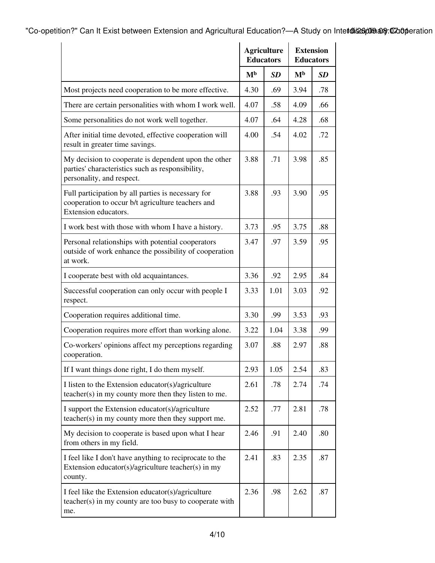"Co-opetition?" Can It Exist between Extension and Agricultural Education?—A Study on Intetdi&66009 ang: 07:00 peration

|                                                                                                                                       | <b>Agriculture</b><br><b>Educators</b> |           | <b>Extension</b><br><b>Educators</b> |           |
|---------------------------------------------------------------------------------------------------------------------------------------|----------------------------------------|-----------|--------------------------------------|-----------|
|                                                                                                                                       | M <sub>b</sub>                         | <b>SD</b> | M <sub>b</sub>                       | <b>SD</b> |
| Most projects need cooperation to be more effective.                                                                                  | 4.30                                   | .69       | 3.94                                 | .78       |
| There are certain personalities with whom I work well.                                                                                | 4.07                                   | .58       | 4.09                                 | .66       |
| Some personalities do not work well together.                                                                                         | 4.07                                   | .64       | 4.28                                 | .68       |
| After initial time devoted, effective cooperation will<br>result in greater time savings.                                             | 4.00                                   | .54       | 4.02                                 | .72       |
| My decision to cooperate is dependent upon the other<br>parties' characteristics such as responsibility,<br>personality, and respect. | 3.88                                   | .71       | 3.98                                 | .85       |
| Full participation by all parties is necessary for<br>cooperation to occur b/t agriculture teachers and<br>Extension educators.       | 3.88                                   | .93       | 3.90                                 | .95       |
| I work best with those with whom I have a history.                                                                                    | 3.73                                   | .95       | 3.75                                 | .88       |
| Personal relationships with potential cooperators<br>outside of work enhance the possibility of cooperation<br>at work.               | 3.47                                   | .97       | 3.59                                 | .95       |
| I cooperate best with old acquaintances.                                                                                              | 3.36                                   | .92       | 2.95                                 | .84       |
| Successful cooperation can only occur with people I<br>respect.                                                                       | 3.33                                   | 1.01      | 3.03                                 | .92       |
| Cooperation requires additional time.                                                                                                 | 3.30                                   | .99       | 3.53                                 | .93       |
| Cooperation requires more effort than working alone.                                                                                  | 3.22                                   | 1.04      | 3.38                                 | .99       |
| Co-workers' opinions affect my perceptions regarding<br>cooperation.                                                                  | 3.07                                   | .88       | 2.97                                 | .88       |
| If I want things done right, I do them myself.                                                                                        | 2.93                                   | 1.05      | 2.54                                 | .83       |
| I listen to the Extension educator(s)/agriculture<br>teacher(s) in my county more then they listen to me.                             | 2.61                                   | .78       | 2.74                                 | .74       |
| I support the Extension educator(s)/agriculture<br>teacher(s) in my county more then they support me.                                 | 2.52                                   | .77       | 2.81                                 | .78       |
| My decision to cooperate is based upon what I hear<br>from others in my field.                                                        | 2.46                                   | .91       | 2.40                                 | .80       |
| I feel like I don't have anything to reciprocate to the<br>Extension educator(s)/agriculture teacher(s) in my<br>county.              | 2.41                                   | .83       | 2.35                                 | .87       |
| I feel like the Extension educator(s)/agriculture<br>teacher(s) in my county are too busy to cooperate with<br>me.                    | 2.36                                   | .98       | 2.62                                 | .87       |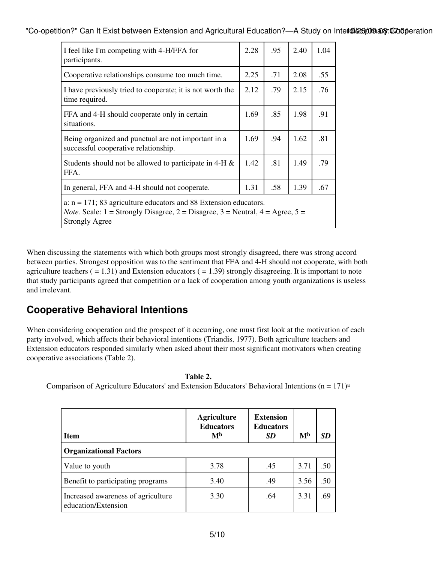"Co-opetition?" Can It Exist between Extension and Agricultural Education?—A Study on Intet@i\$26pmana@ineation

| I feel like I'm competing with 4-H/FFA for<br>participants.                                                                                                                                    | 2.28 | .95 | 2.40 | 1.04 |
|------------------------------------------------------------------------------------------------------------------------------------------------------------------------------------------------|------|-----|------|------|
| Cooperative relationships consume too much time.                                                                                                                                               | 2.25 | .71 | 2.08 | .55  |
| I have previously tried to cooperate; it is not worth the<br>time required.                                                                                                                    | 2.12 | .79 | 2.15 | .76  |
| FFA and 4-H should cooperate only in certain<br>situations.                                                                                                                                    | 1.69 | .85 | 1.98 | .91  |
| Being organized and punctual are not important in a<br>successful cooperative relationship.                                                                                                    | 1.69 | .94 | 1.62 | .81  |
| Students should not be allowed to participate in 4-H $\&$<br>FFA.                                                                                                                              | 1.42 | .81 | 1.49 | .79  |
| In general, FFA and 4-H should not cooperate.                                                                                                                                                  | 1.31 | .58 | 1.39 | .67  |
| a: $n = 171$ ; 83 agriculture educators and 88 Extension educators.<br><i>Note.</i> Scale: $1 =$ Strongly Disagree, $2 =$ Disagree, $3 =$ Neutral, $4 =$ Agree, $5 =$<br><b>Strongly Agree</b> |      |     |      |      |

When discussing the statements with which both groups most strongly disagreed, there was strong accord between parties. Strongest opposition was to the sentiment that FFA and 4-H should not cooperate, with both agriculture teachers  $( = 1.31)$  and Extension educators  $( = 1.39)$  strongly disagreeing. It is important to note that study participants agreed that competition or a lack of cooperation among youth organizations is useless and irrelevant.

#### **Cooperative Behavioral Intentions**

When considering cooperation and the prospect of it occurring, one must first look at the motivation of each party involved, which affects their behavioral intentions (Triandis, 1977). Both agriculture teachers and Extension educators responded similarly when asked about their most significant motivators when creating cooperative associations (Table 2).

**Table 2.**

Comparison of Agriculture Educators' and Extension Educators' Behavioral Intentions ( $n = 171$ )<sup>a</sup>

| <b>Item</b>                                               | <b>Agriculture</b><br><b>Educators</b><br>M <sub>b</sub> | <b>Extension</b><br><b>Educators</b><br><b>SD</b> | M <sub>b</sub> | SD  |  |  |
|-----------------------------------------------------------|----------------------------------------------------------|---------------------------------------------------|----------------|-----|--|--|
| <b>Organizational Factors</b>                             |                                                          |                                                   |                |     |  |  |
| Value to youth                                            | 3.78                                                     | .45                                               | 3.71           | .50 |  |  |
| Benefit to participating programs                         | 3.40                                                     | .49                                               | 3.56           | .50 |  |  |
| Increased awareness of agriculture<br>education/Extension | 3.30                                                     | .64                                               | 3.31           | .69 |  |  |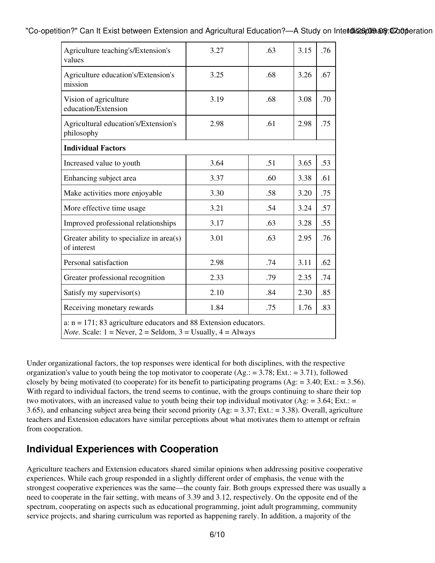"Co-opetition?" Can It Exist between Extension and Agricultural Education?—A Study on Intet@\$26p@@ang: 0700 peration

| Agriculture teaching's/Extension's<br>values                                                                                                      | 3.27 | .63 | 3.15 | .76 |
|---------------------------------------------------------------------------------------------------------------------------------------------------|------|-----|------|-----|
| Agriculture education's/Extension's<br>mission                                                                                                    | 3.25 | .68 | 3.26 | .67 |
| Vision of agriculture<br>education/Extension                                                                                                      | 3.19 | .68 | 3.08 | .70 |
| Agricultural education's/Extension's<br>philosophy                                                                                                | 2.98 | .61 | 2.98 | .75 |
| <b>Individual Factors</b>                                                                                                                         |      |     |      |     |
| Increased value to youth                                                                                                                          | 3.64 | .51 | 3.65 | .53 |
| Enhancing subject area                                                                                                                            | 3.37 | .60 | 3.38 | .61 |
| Make activities more enjoyable                                                                                                                    | 3.30 | .58 | 3.20 | .75 |
| More effective time usage                                                                                                                         | 3.21 | .54 | 3.24 | .57 |
| Improved professional relationships                                                                                                               | 3.17 | .63 | 3.28 | .55 |
| Greater ability to specialize in area(s)<br>of interest                                                                                           | 3.01 | .63 | 2.95 | .76 |
| Personal satisfaction                                                                                                                             | 2.98 | .74 | 3.11 | .62 |
| Greater professional recognition                                                                                                                  | 2.33 | .79 | 2.35 | .74 |
| Satisfy my supervisor(s)                                                                                                                          | 2.10 | .84 | 2.30 | .85 |
| Receiving monetary rewards                                                                                                                        | 1.84 | .75 | 1.76 | .83 |
| a: $n = 171$ ; 83 agriculture educators and 88 Extension educators.<br><i>Note.</i> Scale: $1 =$ Never, $2 =$ Seldom, $3 =$ Usually, $4 =$ Always |      |     |      |     |

Under organizational factors, the top responses were identical for both disciplines, with the respective organization's value to youth being the top motivator to cooperate  $(Ag.: = 3.78; Ext.: = 3.71)$ , followed closely by being motivated (to cooperate) for its benefit to participating programs (Ag:  $= 3.40$ ; Ext.:  $= 3.56$ ). With regard to individual factors, the trend seems to continue, with the groups continuing to share their top two motivators, with an increased value to youth being their top individual motivator (Ag:  $=$  3.64; Ext.:  $=$ 3.65), and enhancing subject area being their second priority (Ag: = 3.37; Ext.: = 3.38). Overall, agriculture teachers and Extension educators have similar perceptions about what motivates them to attempt or refrain from cooperation.

#### **Individual Experiences with Cooperation**

Agriculture teachers and Extension educators shared similar opinions when addressing positive cooperative experiences. While each group responded in a slightly different order of emphasis, the venue with the strongest cooperative experiences was the same—the county fair. Both groups expressed there was usually a need to cooperate in the fair setting, with means of 3.39 and 3.12, respectively. On the opposite end of the spectrum, cooperating on aspects such as educational programming, joint adult programming, community service projects, and sharing curriculum was reported as happening rarely. In addition, a majority of the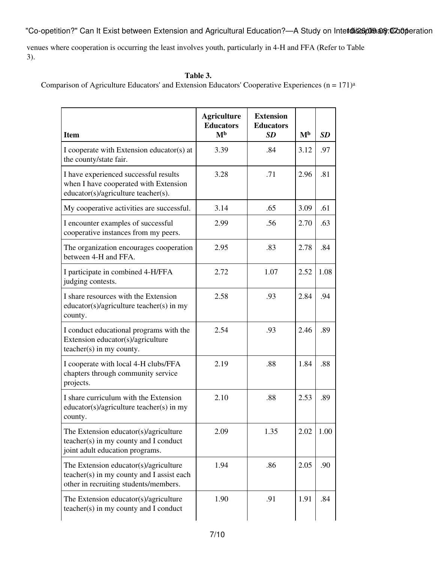"Co-opetition?" Can It Exist between Extension and Agricultural Education?—A Study on Intetdi&66009ang:07doperation

venues where cooperation is occurring the least involves youth, particularly in 4-H and FFA (Refer to Table 3).

#### **Table 3.**

Comparison of Agriculture Educators' and Extension Educators' Cooperative Experiences (n = 171)<sup>a</sup>

| <b>Item</b>                                                                                                                 | <b>Agriculture</b><br><b>Educators</b><br>M <sub>b</sub> | <b>Extension</b><br><b>Educators</b><br><b>SD</b> | M <sub>b</sub> | SD   |
|-----------------------------------------------------------------------------------------------------------------------------|----------------------------------------------------------|---------------------------------------------------|----------------|------|
| I cooperate with Extension educator(s) at<br>the county/state fair.                                                         | 3.39                                                     | .84                                               | 3.12           | .97  |
| I have experienced successful results<br>when I have cooperated with Extension<br>educator(s)/agriculture teacher(s).       | 3.28                                                     | .71                                               | 2.96           | .81  |
| My cooperative activities are successful.                                                                                   | 3.14                                                     | .65                                               | 3.09           | .61  |
| I encounter examples of successful<br>cooperative instances from my peers.                                                  | 2.99                                                     | .56                                               | 2.70           | .63  |
| The organization encourages cooperation<br>between 4-H and FFA.                                                             | 2.95                                                     | .83                                               | 2.78           | .84  |
| I participate in combined 4-H/FFA<br>judging contests.                                                                      | 2.72                                                     | 1.07                                              | 2.52           | 1.08 |
| I share resources with the Extension<br>educator(s)/agriculture teacher(s) in my<br>county.                                 | 2.58                                                     | .93                                               | 2.84           | .94  |
| I conduct educational programs with the<br>Extension educator(s)/agriculture<br>$teacher(s)$ in my county.                  | 2.54                                                     | .93                                               | 2.46           | .89  |
| I cooperate with local 4-H clubs/FFA<br>chapters through community service<br>projects.                                     | 2.19                                                     | .88                                               | 1.84           | .88  |
| I share curriculum with the Extension<br>educator(s)/agriculture teacher(s) in my<br>county.                                | 2.10                                                     | .88                                               | 2.53           | .89  |
| The Extension educator(s)/agriculture<br>teacher(s) in my county and I conduct<br>joint adult education programs.           | 2.09                                                     | 1.35                                              | 2.02           | 1.00 |
| The Extension educator(s)/agriculture<br>teacher(s) in my county and I assist each<br>other in recruiting students/members. | 1.94                                                     | .86                                               | 2.05           | .90  |
| The Extension educator(s)/agriculture<br>teacher(s) in my county and I conduct                                              | 1.90                                                     | .91                                               | 1.91           | .84  |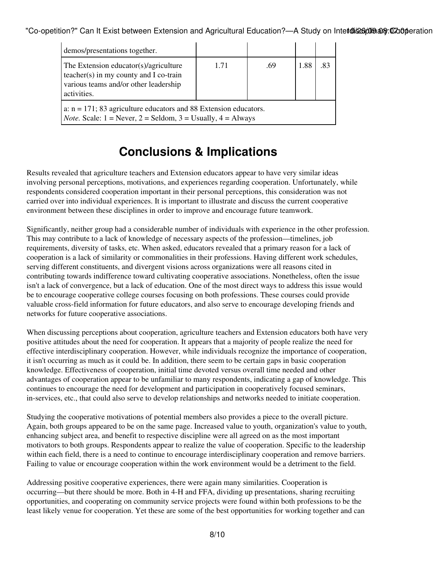"Co-opetition?" Can It Exist between Extension and Agricultural Education?—A Study on Intet@i\$26pme and Cooperation

| demos/presentations together.                                                                                                                     |      |     |      |    |  |  |
|---------------------------------------------------------------------------------------------------------------------------------------------------|------|-----|------|----|--|--|
| The Extension educator(s)/agriculture<br>teacher(s) in my county and I co-train<br>various teams and/or other leadership<br>activities.           | 1.71 | .69 | 1.88 | 83 |  |  |
| a: $n = 171$ ; 83 agriculture educators and 88 Extension educators.<br><i>Note.</i> Scale: $1 =$ Never, $2 =$ Seldom, $3 =$ Usually, $4 =$ Always |      |     |      |    |  |  |

### **Conclusions & Implications**

Results revealed that agriculture teachers and Extension educators appear to have very similar ideas involving personal perceptions, motivations, and experiences regarding cooperation. Unfortunately, while respondents considered cooperation important in their personal perceptions, this consideration was not carried over into individual experiences. It is important to illustrate and discuss the current cooperative environment between these disciplines in order to improve and encourage future teamwork.

Significantly, neither group had a considerable number of individuals with experience in the other profession. This may contribute to a lack of knowledge of necessary aspects of the profession—timelines, job requirements, diversity of tasks, etc. When asked, educators revealed that a primary reason for a lack of cooperation is a lack of similarity or commonalities in their professions. Having different work schedules, serving different constituents, and divergent visions across organizations were all reasons cited in contributing towards indifference toward cultivating cooperative associations. Nonetheless, often the issue isn't a lack of convergence, but a lack of education. One of the most direct ways to address this issue would be to encourage cooperative college courses focusing on both professions. These courses could provide valuable cross-field information for future educators, and also serve to encourage developing friends and networks for future cooperative associations.

When discussing perceptions about cooperation, agriculture teachers and Extension educators both have very positive attitudes about the need for cooperation. It appears that a majority of people realize the need for effective interdisciplinary cooperation. However, while individuals recognize the importance of cooperation, it isn't occurring as much as it could be. In addition, there seem to be certain gaps in basic cooperation knowledge. Effectiveness of cooperation, initial time devoted versus overall time needed and other advantages of cooperation appear to be unfamiliar to many respondents, indicating a gap of knowledge. This continues to encourage the need for development and participation in cooperatively focused seminars, in-services, etc., that could also serve to develop relationships and networks needed to initiate cooperation.

Studying the cooperative motivations of potential members also provides a piece to the overall picture. Again, both groups appeared to be on the same page. Increased value to youth, organization's value to youth, enhancing subject area, and benefit to respective discipline were all agreed on as the most important motivators to both groups. Respondents appear to realize the value of cooperation. Specific to the leadership within each field, there is a need to continue to encourage interdisciplinary cooperation and remove barriers. Failing to value or encourage cooperation within the work environment would be a detriment to the field.

Addressing positive cooperative experiences, there were again many similarities. Cooperation is occurring—but there should be more. Both in 4-H and FFA, dividing up presentations, sharing recruiting opportunities, and cooperating on community service projects were found within both professions to be the least likely venue for cooperation. Yet these are some of the best opportunities for working together and can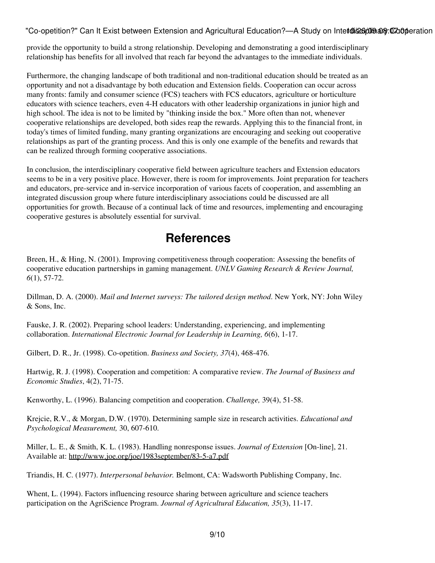"Co-opetition?" Can It Exist between Extension and Agricultural Education?—A Study on Intet@i\$26pme and Cooperation

provide the opportunity to build a strong relationship. Developing and demonstrating a good interdisciplinary relationship has benefits for all involved that reach far beyond the advantages to the immediate individuals.

Furthermore, the changing landscape of both traditional and non-traditional education should be treated as an opportunity and not a disadvantage by both education and Extension fields. Cooperation can occur across many fronts: family and consumer science (FCS) teachers with FCS educators, agriculture or horticulture educators with science teachers, even 4-H educators with other leadership organizations in junior high and high school. The idea is not to be limited by "thinking inside the box." More often than not, whenever cooperative relationships are developed, both sides reap the rewards. Applying this to the financial front, in today's times of limited funding, many granting organizations are encouraging and seeking out cooperative relationships as part of the granting process. And this is only one example of the benefits and rewards that can be realized through forming cooperative associations.

In conclusion, the interdisciplinary cooperative field between agriculture teachers and Extension educators seems to be in a very positive place. However, there is room for improvements. Joint preparation for teachers and educators, pre-service and in-service incorporation of various facets of cooperation, and assembling an integrated discussion group where future interdisciplinary associations could be discussed are all opportunities for growth. Because of a continual lack of time and resources, implementing and encouraging cooperative gestures is absolutely essential for survival.

### **References**

Breen, H., & Hing, N. (2001). Improving competitiveness through cooperation: Assessing the benefits of cooperative education partnerships in gaming management. *UNLV Gaming Research & Review Journal, 6*(1), 57-72.

Dillman, D. A. (2000). *Mail and Internet surveys: The tailored design method*. New York, NY: John Wiley & Sons, Inc.

Fauske, J. R. (2002). Preparing school leaders: Understanding, experiencing, and implementing collaboration. *International Electronic Journal for Leadership in Learning, 6*(6), 1-17.

Gilbert, D. R., Jr. (1998). Co-opetition. *Business and Society, 37*(4), 468-476.

Hartwig, R. J. (1998). Cooperation and competition: A comparative review. *The Journal of Business and Economic Studies*, 4(2), 71-75.

Kenworthy, L. (1996). Balancing competition and cooperation. *Challenge,* 39(4), 51-58.

Krejcie, R.V., & Morgan, D.W. (1970). Determining sample size in research activities. *Educational and Psychological Measurement,* 30, 607-610.

Miller, L. E., & Smith, K. L. (1983). Handling nonresponse issues. *Journal of Extension* [On-line], 21. Available at: <http://www.joe.org/joe/1983september/83-5-a7.pdf>

Triandis, H. C. (1977). *Interpersonal behavior.* Belmont, CA: Wadsworth Publishing Company, Inc.

Whent, L. (1994). Factors influencing resource sharing between agriculture and science teachers participation on the AgriScience Program. *Journal of Agricultural Education, 35*(3), 11-17.